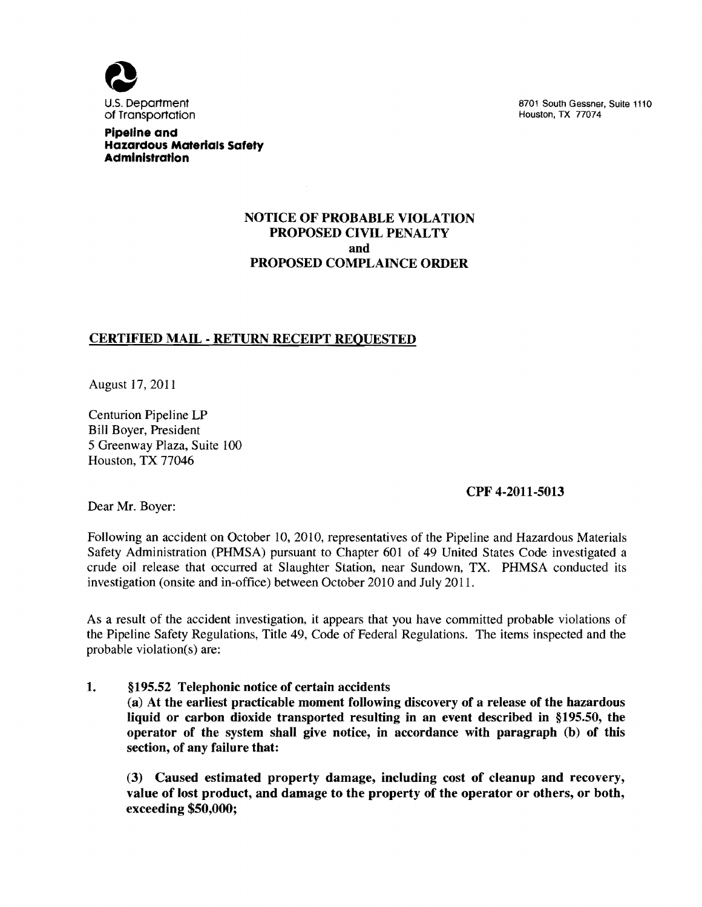

U.S. Department (110) and the state of the state of the state 1110 state 1110 state 1110 state 1110 of Transportation (110) and the state 1110 state 1110 state 1110 state 1110 state 1110 state 1110 state 1110 state 1110 st

**pipeline and Hazardous Materials Safety Administration** 

## NOTICE OF PROBABLE VIOLATION PROPOSED CIVIL PENALTY and PROPOSED COMPLAINCE ORDER

## CERTIFIED MAIL - RETURN RECEIPT REQUESTED

August 17,2011

Centurion Pipeline LP Bill Boyer, President 5 Greenway Plaza, Suite 100 Houston, TX 77046

#### CPF 4-2011-5013

Dear Mr. Boyer:

Following an accident on October 10, 2010, representatives of the Pipeline and Hazardous Materials Safety Administration (PHMSA) pursuant to Chapter 601 of 49 United States Code investigated a crude oil release that occurred at Slaughter Station, near Sundown, TX. PHMSA conducted its investigation (onsite and in-office) between October 2010 and July 2011.

As a result of the accident investigation, it appears that you have committed probable violations of the Pipeline Safety Regulations, Title 49, Code of Federal Regulations. The items inspected and the probable violation(s) are:

1. §195.52 Telephonic notice of certain accidents (a) At the earliest practicable moment following discovery of a release of the hazardous liquid or carbon dioxide transported resulting in an event described in § 195.50, the operator of the system shall give notice, in accordance with paragraph (b) of this section, of any failure that:

(3) Caused estimated property damage, including cost of cleanup and recovery, value of lost product, and damage to the property of the operator or others, or both, exceeding \$50,000;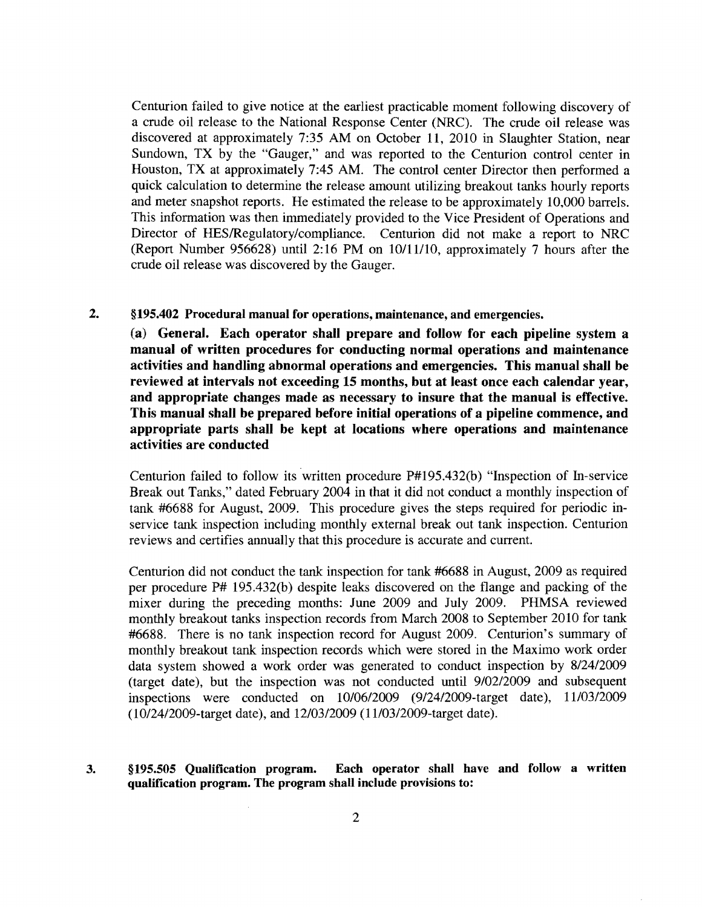Centurion failed to give notice at the earliest practicable moment following discovery of a crude oil release to the National Response Center (NRC). The crude oil release was discovered at approximately 7:35 AM on October 11, 2010 in Slaughter Station, near Sundown, TX by the "Gauger," and was reported to the Centurion control center in Houston, TX at approximately 7:45 AM. The control center Director then performed a quick calculation to determine the release amount utilizing breakout tanks hourly reports and meter snapshot reports. He estimated the release to be approximately 10,000 barrels. This information was then immediately provided to the Vice President of Operations and Director of HES/Regulatory/compliance. Centurion did not make a report to NRC (Report Number 956628) until 2:16 PM on *10/11/10,* approximately 7 hours after the crude oil release was discovered by the Gauger.

### 2. §195.402 Procedural manual for operations, maintenance, and emergencies.

(a) General. Each operator shall prepare and follow for each pipeline system a manual of written procedures for conducting normal operations and maintenance activities and handling abnormal operations and emergencies. This manual shall be reviewed at intervals not exceeding 15 months, but at least once each calendar year, and appropriate changes made as necessary to insure that the manual is effective. This manual shall be prepared before initial operations of a pipeline commence, and appropriate parts shall be kept at locations where operations and maintenance activities are conducted

Centurion failed to follow its written procedure P#195.432(b) "Inspection of In-service Break out Tanks," dated February 2004 in that it did not conduct a monthly inspection of tank #6688 for August, 2009. This procedure gives the steps required for periodic inservice tank inspection including monthly external break out tank inspection. Centurion reviews and certifies annually that this procedure is accurate and current.

Centurion did not conduct the tank inspection for tank #6688 in August, 2009 as required per procedure P# 195.432(b) despite leaks discovered on the flange and packing of the mixer during the preceding months: June 2009 and July 2009. PHMSA reviewed monthly breakout tanks inspection records from March 2008 to September 2010 for tank #6688. There is no tank inspection record for August 2009. Centurion's summary of monthly breakout tank inspection records which were stored in the Maximo work order data system showed a work order was generated to conduct inspection by 8/2412009 (target date), but the inspection was not conducted until 9/0212009 and subsequent inspections were conducted on 10/0612009 (9124/2009-target date), 1110312009 (l012412009-target date), and 12/0312009 (l1l0312009-target date).

### 3. § 195.505 Qualification program. Each operator shall have and follow a written qualification program. The program shall include provisions to: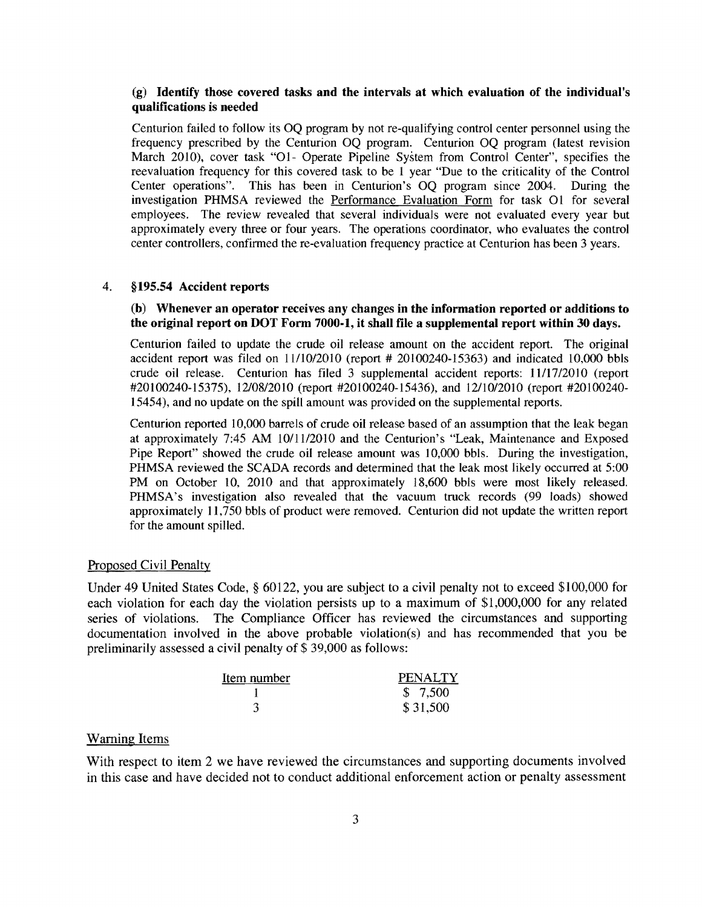### (g) Identify those covered tasks and the intervals at which evaluation of the individual's qualifications is needed

Centurion failed to follow its OQ program by not re-qualifying control center personnel using the frequency prescribed by the Centurion OQ program. Centurion OQ program (latest revision March 2010), cover task "O1- Operate Pipeline System from Control Center", specifies the reevaluation frequency for this covered task to be 1 year "Due to the criticality of the Control Center operations". This has been in Centurion's OQ program since 2004. During the investigation PHMSA reviewed the Performance Evaluation Form for task 01 for several employees. The review revealed that several individuals were not evaluated every year but approximately every three or four years. The operations coordinator, who evaluates the control center controllers, confirmed the re-evaluation frequency practice at Centurion has been 3 years.

#### 4. §195.54 Accident reports

#### (b) Whenever an operator receives any changes in the information reported or additions to the original report on DOT Form 7000-1, it shall file a supplemental report within 30 days.

Centurion failed to update the crude oil release amount on the accident report. The original accident report was filed on 1111012010 (report # 20100240-15363) and indicated 10,000 bbls crude oil release. Centurion has filed 3 supplemental accident reports: 11117/2010 (report #20100240-15375), 12/08/2010 (report #20100240-15436), and 12/10/2010 (report #20100240-15454), and no update on the spill amount was provided on the supplemental reports.

Centurion reported 10,000 barrels of crude oil release based of an assumption that the leak began at approximately 7:45 AM 10/1112010 and the Centurion's "Leak, Maintenance and Exposed Pipe Report" showed the crude oil release amount was 10,000 bbls. During the investigation, PHMSA reviewed the SCADA records and determined that the leak most likely occurred at 5:00 PM on October 10, 2010 and that approximately 18,600 bbls were most likely released. PHMSA's investigation also revealed that the vacuum truck records (99 loads) showed approximately 11,750 bbls of product were removed. Centurion did not update the written report for the amount spilled.

### Proposed Civil Penalty

Under 49 United States Code, § 60122, you are subject to a civil penalty not to exceed \$100,000 for each violation for each day the violation persists up to a maximum of \$1,000,000 for any related series of violations. The Compliance Officer has reviewed the circumstances and supporting documentation involved in the above probable violation(s) and has recommended that you be preliminarily assessed a civil penalty of \$ 39,000 as follows:

| Item number | <b>PENALTY</b> |
|-------------|----------------|
|             | \$7,500        |
|             | \$31,500       |

#### Warning Items

With respect to item 2 we have reviewed the circumstances and supporting documents involved in this case and have decided not to conduct additional enforcement action or penalty assessment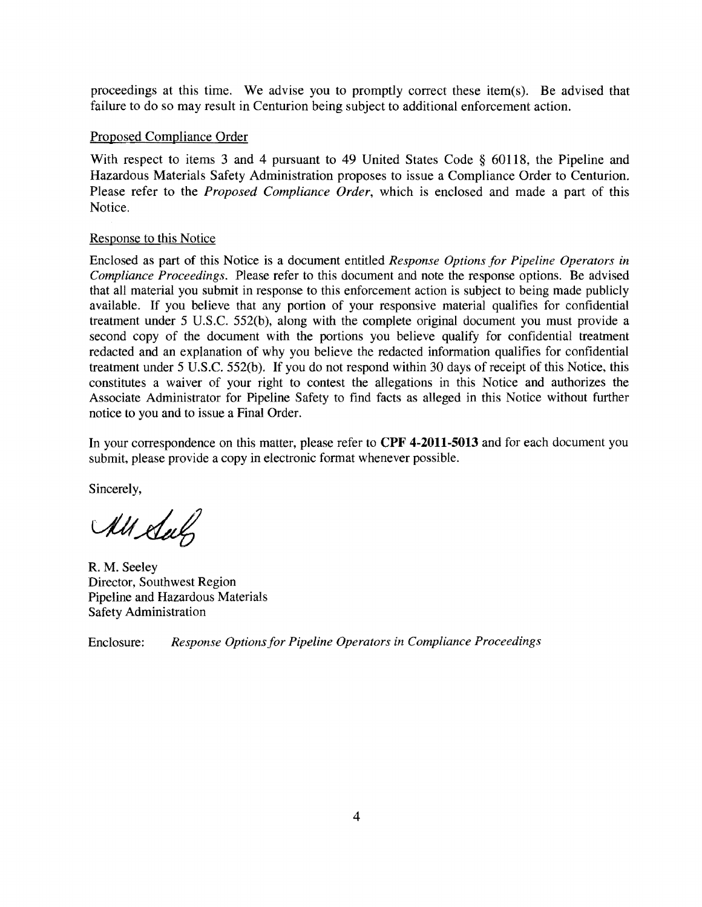proceedings at this time. We advise you to promptly correct these item(s). Be advised that failure to do so may result in Centurion being subject to additional enforcement action.

## Proposed Compliance Order

With respect to items 3 and 4 pursuant to 49 United States Code § 60118, the Pipeline and Hazardous Materials Safety Administration proposes to issue a Compliance Order to Centurion. Please refer to the *Proposed Compliance Order,* which is enclosed and made a part of this Notice.

## Response to this Notice

Enclosed as part of this Notice is a document entitled *Response Options for Pipeline Operators in Compliance Proceedings.* Please refer to this document and note the response options. Be advised that all material you submit in response to this enforcement action is subject to being made publicly available. If you believe that any portion of your responsive material qualifies for confidential treatment under 5 U.S.c. 552(b), along with the complete original document you must provide a second copy of the document with the portions you believe qualify for confidential treatment redacted and an explanation of why you believe the redacted information qualifies for confidential treatment under 5 V.S.c. 552(b). If you do not respond within 30 days of receipt of this Notice, this constitutes a waiver of your right to contest the allegations in this Notice and authorizes the Associate Administrator for Pipeline Safety to find facts as alleged in this Notice without further notice to you and to issue a Final Order.

**In** your correspondence on this matter, please refer to **CPF 4-2011-5013** and for each document you submit, please provide a copy in electronic format whenever possible.

Sincerely,

All Sul

R. M. Seeley Director, Southwest Region Pipeline and Hazardous Materials Safety Administration

Enclosure: *Response Options for Pipeline Operators in Compliance Proceedings*